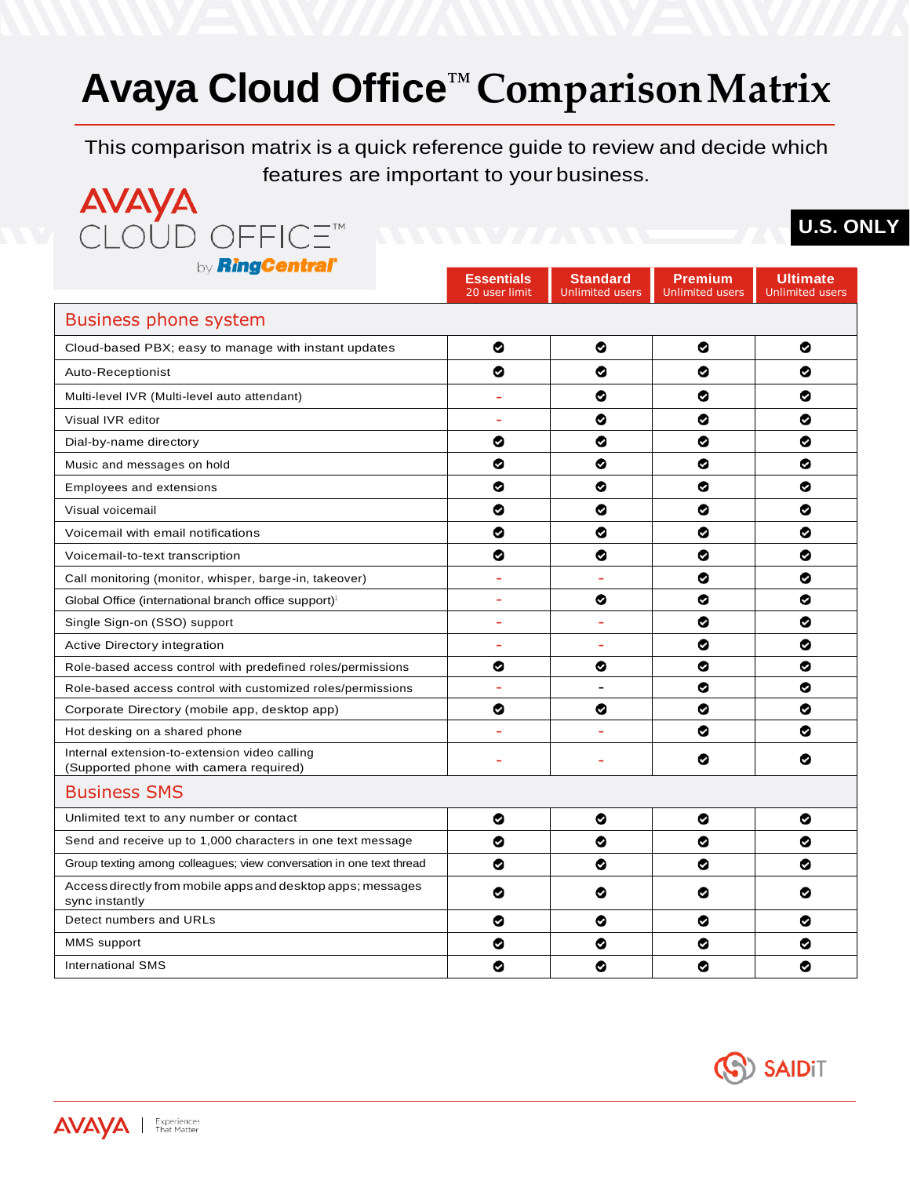## **Avaya Cloud Office™ ComparisonMatrix**

This comparison matrix is a quick reference guide to review and decide which features are important to your business.

| <b>AVAYA</b> |                           |
|--------------|---------------------------|
|              | CLOUD OFFICE <sup>™</sup> |
|              | D'inal antiq"             |

## **U.S. ONLY**

| by <b>ming central</b>                                                                  | <b>Essentials</b><br>20 user limit | <b>Standard</b><br><b>Unlimited users</b> | <b>Premium</b><br><b>Unlimited users</b> | <b>Ultimate</b><br><b>Unlimited users</b> |  |
|-----------------------------------------------------------------------------------------|------------------------------------|-------------------------------------------|------------------------------------------|-------------------------------------------|--|
| Business phone system                                                                   |                                    |                                           |                                          |                                           |  |
| Cloud-based PBX; easy to manage with instant updates                                    | ❤                                  | ◎                                         | ◎                                        | ◕                                         |  |
| Auto-Receptionist                                                                       | ❤                                  | ⊗                                         | ⊗                                        | ⊗                                         |  |
| Multi-level IVR (Multi-level auto attendant)                                            | $\sim$                             | ⊗                                         | ⊗                                        | ◉                                         |  |
| Visual IVR editor                                                                       | $\blacksquare$                     | ⊗                                         | ⊗                                        | ❤                                         |  |
| Dial-by-name directory                                                                  | ❤                                  | ❤                                         | ⊗                                        | ⊗                                         |  |
| Music and messages on hold                                                              | ❤                                  | ⊗                                         | ◎                                        | ❤                                         |  |
| <b>Employees and extensions</b>                                                         | ❤                                  | ⊗                                         | ⊗                                        | ⊗                                         |  |
| Visual voicemail                                                                        | ❤                                  | ⊗                                         | ⊗                                        | ◕                                         |  |
| Voicemail with email notifications                                                      | ❤                                  | ❤                                         | ❤                                        | ⊗                                         |  |
| Voicemail-to-text transcription                                                         | ❤                                  | ⊗                                         | ❤                                        | ◎                                         |  |
| Call monitoring (monitor, whisper, barge-in, takeover)                                  | $\overline{\phantom{a}}$           | $\overline{\phantom{a}}$                  | ◎                                        | ❤                                         |  |
| Global Office (international branch office support) <sup>1</sup>                        | L.                                 | ⊗                                         | ◎                                        | ◕                                         |  |
| Single Sign-on (SSO) support                                                            | $\overline{\phantom{a}}$           | $\overline{\phantom{a}}$                  | ⊗                                        | ◎                                         |  |
| Active Directory integration                                                            | $\overline{\phantom{a}}$           | $\overline{\phantom{a}}$                  | ⊗                                        | ⊗                                         |  |
| Role-based access control with predefined roles/permissions                             | ◎                                  | ◎                                         | ◎                                        | ◎                                         |  |
| Role-based access control with customized roles/permissions                             | $\overline{\phantom{a}}$           | $\overline{\phantom{a}}$                  | ◎                                        | ⊗                                         |  |
| Corporate Directory (mobile app, desktop app)                                           | ❤                                  | ⊗                                         | ❤                                        | ⊗                                         |  |
| Hot desking on a shared phone                                                           | ÷                                  | $\overline{a}$                            | ⊗                                        | ◕                                         |  |
| Internal extension-to-extension video calling<br>(Supported phone with camera required) | ٠                                  | ÷                                         | ❤                                        | ❤                                         |  |
| <b>Business SMS</b>                                                                     |                                    |                                           |                                          |                                           |  |
| Unlimited text to any number or contact                                                 | ❤                                  | ❤                                         | ⊗                                        | ◕                                         |  |
| Send and receive up to 1,000 characters in one text message                             | ❤                                  | ❤                                         | ⊗                                        | ⊗                                         |  |
| Group texting among colleagues; view conversation in one text thread                    | ❤                                  | ⊗                                         | ⊗                                        | ◓                                         |  |
| Access directly from mobile apps and desktop apps; messages<br>sync instantly           | ⊗                                  | ⊗                                         | ⊗                                        | ◉                                         |  |
| Detect numbers and URLs                                                                 | ◕                                  | ⊗                                         | ⊗                                        | ◉                                         |  |
| MMS support                                                                             | ⊗                                  | ⊗                                         | ◎                                        | ◕                                         |  |
| <b>International SMS</b>                                                                | ❤                                  | ⊗                                         | ู๏                                       | ⊗                                         |  |

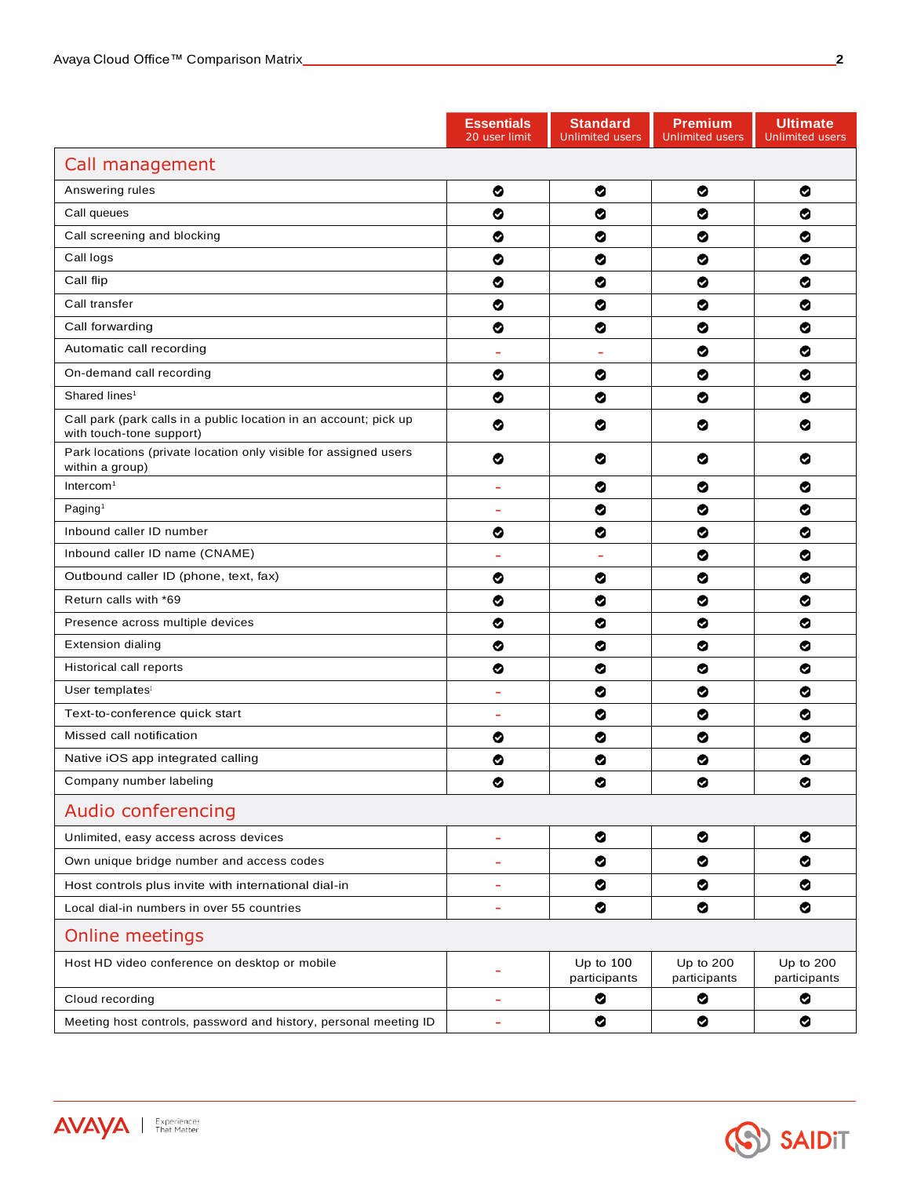**AVAYA** | Experiences

|                                                                                               | <b>Essentials</b><br>20 user limit | <b>Standard</b><br><b>Unlimited users</b> | <b>Premium</b><br><b>Unlimited users</b> | <b>Ultimate</b><br><b>Unlimited users</b> |
|-----------------------------------------------------------------------------------------------|------------------------------------|-------------------------------------------|------------------------------------------|-------------------------------------------|
| Call management                                                                               |                                    |                                           |                                          |                                           |
| Answering rules                                                                               | ◎                                  | ◎                                         | ❤                                        | ◙                                         |
| Call queues                                                                                   | ❤                                  | ◎                                         | ⊗                                        | ◎                                         |
| Call screening and blocking                                                                   | ❤                                  | ❤                                         | ❤                                        | ⊗                                         |
| Call logs                                                                                     | ❤                                  | ❤                                         | ❤                                        | ◉                                         |
| Call flip                                                                                     | ❤                                  | ❤                                         | ◙                                        | ◙                                         |
| Call transfer                                                                                 | ❤                                  | ❤                                         | ❤                                        | ⊗                                         |
| Call forwarding                                                                               | ❤                                  | ❤                                         | ❤                                        | ⊗                                         |
| Automatic call recording                                                                      |                                    |                                           | ◎                                        | ❤                                         |
| On-demand call recording                                                                      | ❤                                  | ❤                                         | ల                                        | ⊗                                         |
| Shared lines <sup>1</sup>                                                                     | ❤                                  | ❤                                         | ❤                                        | ⊗                                         |
| Call park (park calls in a public location in an account; pick up<br>with touch-tone support) | ❤                                  | ◎                                         | ❤                                        | ◉                                         |
| Park locations (private location only visible for assigned users<br>within a group)           | ⊗                                  | ల                                         | ⊗                                        | ◉                                         |
| Intercom $1$                                                                                  | $\overline{\phantom{a}}$           | ❤                                         | ❤                                        | ⊗                                         |
| Paging <sup>1</sup>                                                                           | $\overline{\phantom{a}}$           | ❤                                         | ◎                                        | ◙                                         |
| Inbound caller ID number                                                                      | ❤                                  | ❤                                         | ⊗                                        | ◉                                         |
| Inbound caller ID name (CNAME)                                                                | ÷.                                 | ÷                                         | ❤                                        | ⊗                                         |
| Outbound caller ID (phone, text, fax)                                                         | ◎                                  | ◎                                         | ◎                                        | ◎                                         |
| Return calls with *69                                                                         | ◎                                  | ◎                                         | ◎                                        | ◎                                         |
| Presence across multiple devices                                                              | ❤                                  | ◎                                         | ◎                                        | ◎                                         |
| <b>Extension dialing</b>                                                                      | ❤                                  | ◎                                         | ◎                                        | ◎                                         |
| Historical call reports                                                                       | ❤                                  | ◎                                         | ◎                                        | ◉                                         |
| User templates <sup>1</sup>                                                                   | ÷                                  | ❤                                         | ❤                                        | ⊗                                         |
| Text-to-conference quick start                                                                | ÷                                  | ◎                                         | ల                                        | ◙                                         |
| Missed call notification                                                                      | ❤                                  | ❤                                         | ❤                                        | ❤                                         |
| Native iOS app integrated calling                                                             | ❤                                  | ❤                                         | ❤                                        | ◉                                         |
| Company number labeling                                                                       | ❤                                  | ◎                                         | ❤                                        | ❤                                         |
| Audio conferencing                                                                            |                                    |                                           |                                          |                                           |
| Unlimited, easy access across devices                                                         | $\overline{\phantom{a}}$           | ◎                                         | ❤                                        | ❤                                         |
| Own unique bridge number and access codes                                                     | ÷                                  | ❤                                         | ❤                                        | ❤                                         |
| Host controls plus invite with international dial-in                                          | ÷                                  | ◎                                         | ◎                                        | ❤                                         |
| Local dial-in numbers in over 55 countries                                                    | ۰                                  | ◎                                         | ❤                                        | ❤                                         |
| Online meetings                                                                               |                                    |                                           |                                          |                                           |
| Host HD video conference on desktop or mobile                                                 | ÷                                  | Up to $100$<br>participants               | Up to 200<br>participants                | Up to 200<br>participants                 |
| Cloud recording                                                                               | $\overline{\phantom{a}}$           | ◎                                         | ❤                                        | ◉                                         |
| Meeting host controls, password and history, personal meeting ID                              | ۰                                  | ◎                                         | ❤                                        | ❤                                         |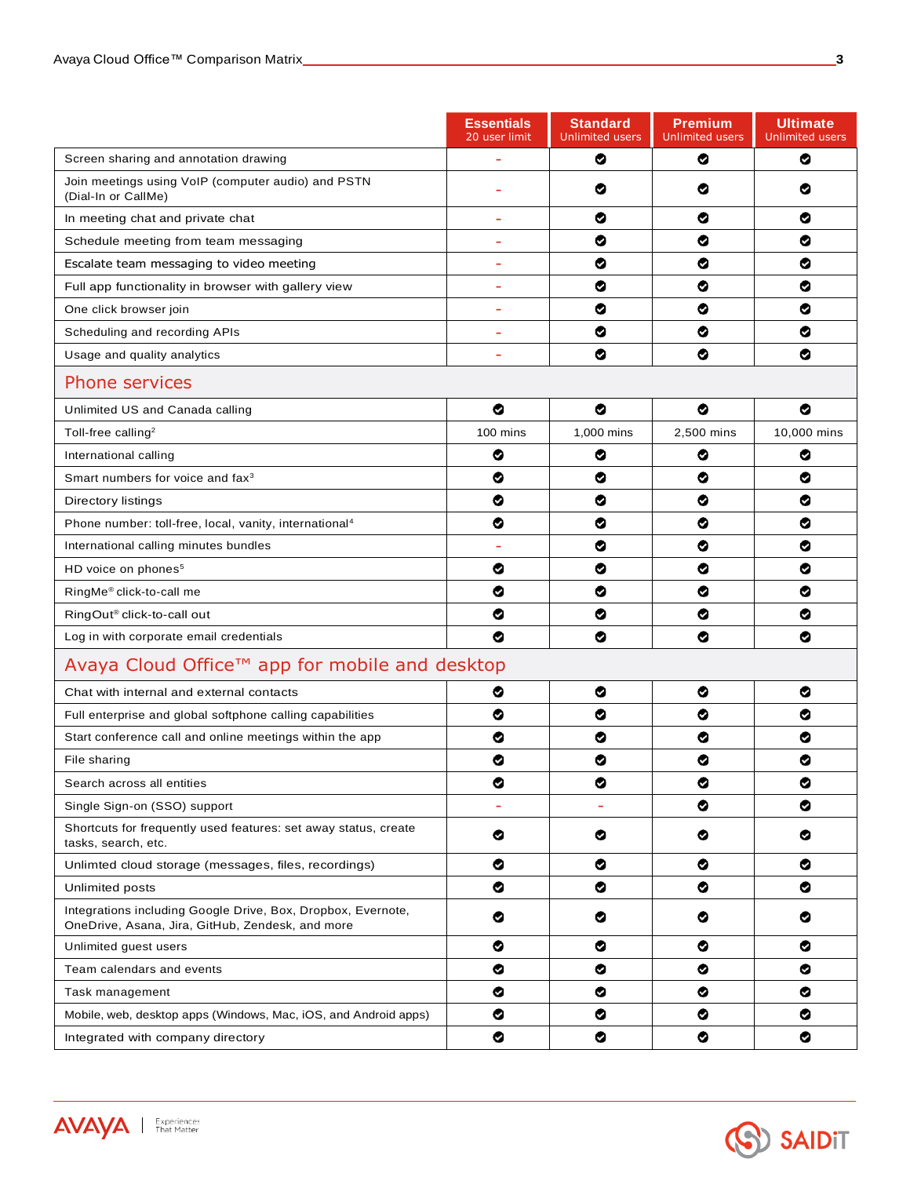|                                                                                                                  | <b>Essentials</b><br>20 user limit | <b>Standard</b><br>Unlimited users | <b>Premium</b><br><b>Unlimited users</b> | <b>Ultimate</b><br><b>Unlimited users</b> |
|------------------------------------------------------------------------------------------------------------------|------------------------------------|------------------------------------|------------------------------------------|-------------------------------------------|
| Screen sharing and annotation drawing                                                                            |                                    | ❤                                  | ⊗                                        | ⊗                                         |
| Join meetings using VoIP (computer audio) and PSTN<br>(Dial-In or CallMe)                                        |                                    | ❤                                  | ⊗                                        | ◎                                         |
| In meeting chat and private chat                                                                                 | ÷,                                 | ❤                                  | ❤                                        | ◎                                         |
| Schedule meeting from team messaging                                                                             | ÷,                                 | ◎                                  | ◎                                        | ⊗                                         |
| Escalate team messaging to video meeting                                                                         | ۰                                  | ❤                                  | ⊗                                        | ◎                                         |
| Full app functionality in browser with gallery view                                                              | ÷                                  | ◎                                  | ◎                                        | ⊗                                         |
| One click browser join                                                                                           | $\blacksquare$                     | ◎                                  | ◎                                        | ⊗                                         |
| Scheduling and recording APIs                                                                                    |                                    | ◎                                  | ⊗                                        | ⊗                                         |
| Usage and quality analytics                                                                                      | ÷                                  | ◎                                  | ⊗                                        | ⊗                                         |
| <b>Phone services</b>                                                                                            |                                    |                                    |                                          |                                           |
| Unlimited US and Canada calling                                                                                  | ◎                                  | ◎                                  | ◎                                        | ⊗                                         |
| Toll-free calling <sup>2</sup>                                                                                   | 100 mins                           | 1,000 mins                         | 2,500 mins                               | 10,000 mins                               |
| International calling                                                                                            | ◎                                  | ◎                                  | ⊗                                        | ⊗                                         |
| Smart numbers for voice and fax <sup>3</sup>                                                                     | ◎                                  | ◎                                  | ⊗                                        | ◎                                         |
| Directory listings                                                                                               | ◎                                  | ◎                                  | ◎                                        | ◎                                         |
| Phone number: toll-free, local, vanity, international <sup>4</sup>                                               | ◎                                  | ◎                                  | ◎                                        | ⊗                                         |
| International calling minutes bundles                                                                            |                                    | ◎                                  | ⊗                                        | ⊗                                         |
| HD voice on phones <sup>5</sup>                                                                                  | ❤                                  | ❤                                  | ◎                                        | ⊗                                         |
| RingMe® click-to-call me                                                                                         | ❤                                  | ❤                                  | ⊗                                        | ⊗                                         |
| RingOut <sup>®</sup> click-to-call out                                                                           | ❤                                  | ❤                                  | ⊗                                        | ⊗                                         |
| Log in with corporate email credentials                                                                          | ◎                                  | ❤                                  | ❤                                        | ⊗                                         |
| Avaya Cloud Office™ app for mobile and desktop                                                                   |                                    |                                    |                                          |                                           |
| Chat with internal and external contacts                                                                         | ⊗                                  | ◎                                  | ◎                                        | ⊗                                         |
| Full enterprise and global softphone calling capabilities                                                        | ◎                                  | ◎                                  | ◎                                        | ⊗                                         |
| Start conference call and online meetings within the app                                                         | ❤                                  | ⊗                                  | ⊗                                        | ⊗                                         |
| File sharing                                                                                                     | ❤                                  | ❤                                  | ⊗                                        | ⊗                                         |
| Search across all entities                                                                                       | ❤                                  | ❤                                  | ◎                                        | ❤                                         |
| Single Sign-on (SSO) support                                                                                     | $\overline{\phantom{a}}$           | $\overline{\phantom{a}}$           | ❤                                        | ❤                                         |
| Shortcuts for frequently used features: set away status, create<br>tasks, search, etc.                           | ❤                                  | ❤                                  | ◎                                        | ❤                                         |
| Unlimted cloud storage (messages, files, recordings)                                                             | ❤                                  | ❤                                  | ⊗                                        | ✅                                         |
| Unlimited posts                                                                                                  | ❤                                  | ❤                                  | ❤                                        | ❤                                         |
| Integrations including Google Drive, Box, Dropbox, Evernote,<br>OneDrive, Asana, Jira, GitHub, Zendesk, and more | ❤                                  | ❤                                  | ❤                                        | ❤                                         |
| Unlimited guest users                                                                                            | ❤                                  | ◎                                  | ◎                                        | ❤                                         |
| Team calendars and events                                                                                        | ❤                                  | ❤                                  | ◎                                        | ◎                                         |
| Task management                                                                                                  | ❤                                  | ❤                                  | ❤                                        | ❤                                         |
| Mobile, web, desktop apps (Windows, Mac, iOS, and Android apps)                                                  | ❤                                  | ❤                                  | ◎                                        | ❤                                         |
| Integrated with company directory                                                                                | ❤                                  | ❤                                  | ❤                                        | ❤                                         |



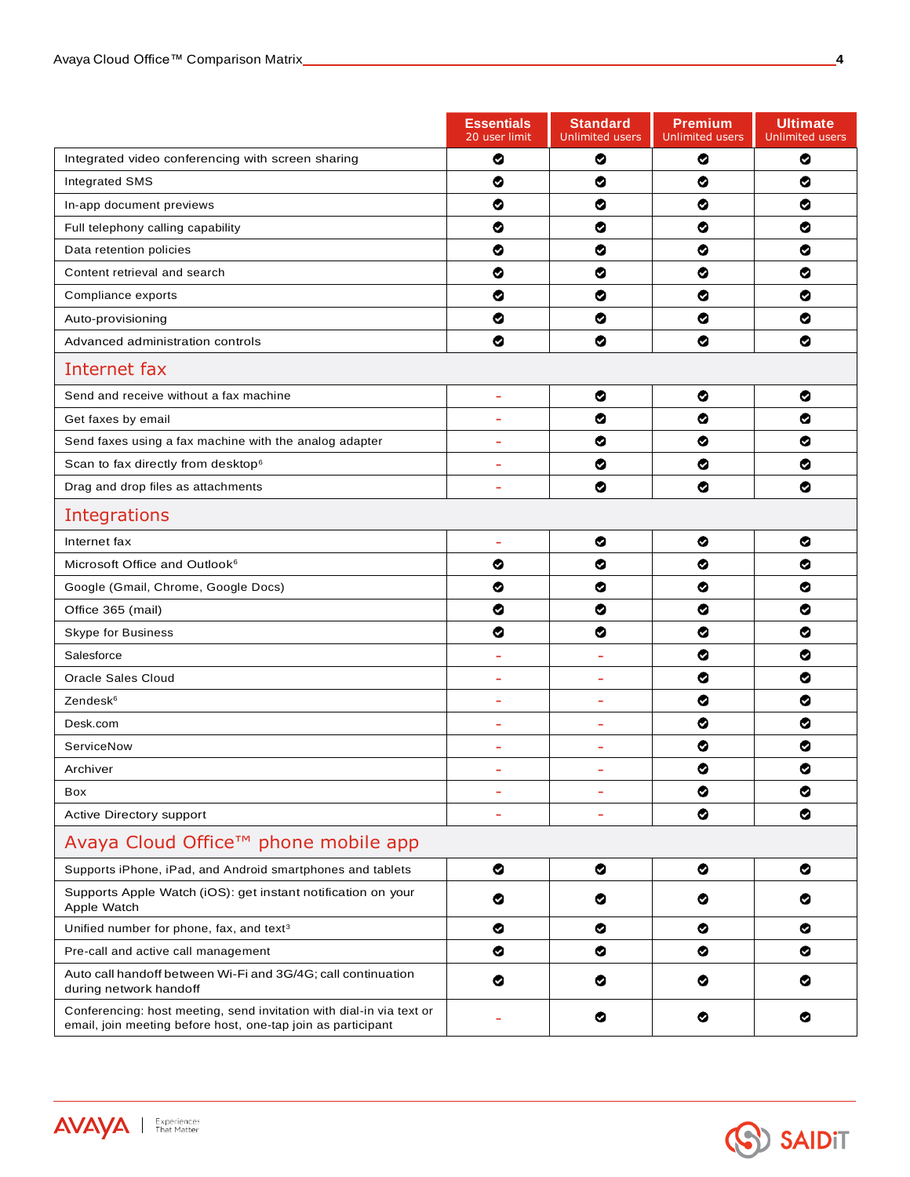**AVAYA** | Experiences

|                                                                                                                                      | <b>Essentials</b><br>20 user limit | <b>Standard</b><br><b>Unlimited users</b> | <b>Premium</b><br><b>Unlimited users</b> | <b>Ultimate</b><br><b>Unlimited users</b> |  |
|--------------------------------------------------------------------------------------------------------------------------------------|------------------------------------|-------------------------------------------|------------------------------------------|-------------------------------------------|--|
| Integrated video conferencing with screen sharing                                                                                    | ❤                                  | ❤                                         | ⊗                                        | ❤                                         |  |
| <b>Integrated SMS</b>                                                                                                                | ◎                                  | ◎                                         | ◎                                        | ❤                                         |  |
| In-app document previews                                                                                                             | ◎                                  | ◎                                         | ◎                                        | ◎                                         |  |
| Full telephony calling capability                                                                                                    | ◎                                  | ◎                                         | ◎                                        | ◎                                         |  |
| Data retention policies                                                                                                              | ◎                                  | ◎                                         | ◎                                        | ◉                                         |  |
| Content retrieval and search                                                                                                         | ❤                                  | ◎                                         | ◎                                        | ❤                                         |  |
| Compliance exports                                                                                                                   | ❤                                  | ❤                                         | ◎                                        | ◙                                         |  |
| Auto-provisioning                                                                                                                    | ❤                                  | ❤                                         | ❤                                        | ⊗                                         |  |
| Advanced administration controls                                                                                                     | ❤                                  | ❤                                         | ❤                                        | ⊗                                         |  |
| Internet fax                                                                                                                         |                                    |                                           |                                          |                                           |  |
| Send and receive without a fax machine                                                                                               | ÷                                  | ◎                                         | ◎                                        | ◙                                         |  |
| Get faxes by email                                                                                                                   | ÷                                  | ◎                                         | ◎                                        | ◎                                         |  |
| Send faxes using a fax machine with the analog adapter                                                                               | ÷                                  | ◎                                         | ◎                                        | ◎                                         |  |
| Scan to fax directly from desktop <sup>6</sup>                                                                                       | ÷                                  | ❤                                         | ❤                                        | ⊗                                         |  |
| Drag and drop files as attachments                                                                                                   | ÷                                  | ❤                                         | ❤                                        | ❤                                         |  |
| Integrations                                                                                                                         |                                    |                                           |                                          |                                           |  |
| Internet fax                                                                                                                         | $\overline{\phantom{a}}$           | ◎                                         | ◎                                        | ❤                                         |  |
| Microsoft Office and Outlook <sup>6</sup>                                                                                            | ◎                                  | ◎                                         | ◎                                        | ◉                                         |  |
| Google (Gmail, Chrome, Google Docs)                                                                                                  | ◎                                  | ◎                                         | ◎                                        | ◉                                         |  |
| Office 365 (mail)                                                                                                                    | ❤                                  | ❤                                         | ❤                                        | ◙                                         |  |
| Skype for Business                                                                                                                   | ❤                                  | ❤                                         | ❤                                        | ⊗                                         |  |
| Salesforce                                                                                                                           | ÷                                  | ÷                                         | ❤                                        | ◙                                         |  |
| Oracle Sales Cloud                                                                                                                   | ÷                                  | $\overline{\phantom{0}}$                  | ◎                                        | ⊗                                         |  |
| Zendesk <sup>6</sup>                                                                                                                 | ÷                                  | Ξ                                         | ⊗                                        | ❤                                         |  |
| Desk.com                                                                                                                             | ÷                                  | ÷                                         | ◎                                        | ◎                                         |  |
| ServiceNow                                                                                                                           | ÷                                  | ÷                                         | ◎                                        | ◎                                         |  |
| Archiver                                                                                                                             | $\equiv$                           |                                           | ◎                                        | ◎                                         |  |
| Box                                                                                                                                  | ÷,                                 | ÷                                         | ◎                                        | ❤                                         |  |
| Active Directory support                                                                                                             | ÷                                  | L,                                        | ◎                                        | ◉                                         |  |
| Avaya Cloud Office™ phone mobile app                                                                                                 |                                    |                                           |                                          |                                           |  |
| Supports iPhone, iPad, and Android smartphones and tablets                                                                           | ❤                                  | ❤                                         | ❤                                        | ❤                                         |  |
| Supports Apple Watch (iOS): get instant notification on your<br>Apple Watch                                                          | ❤                                  | ❤                                         | ❤                                        | ◉                                         |  |
| Unified number for phone, fax, and text <sup>3</sup>                                                                                 | ❤                                  | ❤                                         | ❤                                        | ❤                                         |  |
| Pre-call and active call management                                                                                                  | ❤                                  | ❤                                         | ❤                                        | ❤                                         |  |
| Auto call handoff between Wi-Fi and 3G/4G; call continuation<br>during network handoff                                               | ❤                                  | ❤                                         | ◎                                        | ⊗                                         |  |
| Conferencing: host meeting, send invitation with dial-in via text or<br>email, join meeting before host, one-tap join as participant | ÷                                  | ◎                                         | ◎                                        | ❤                                         |  |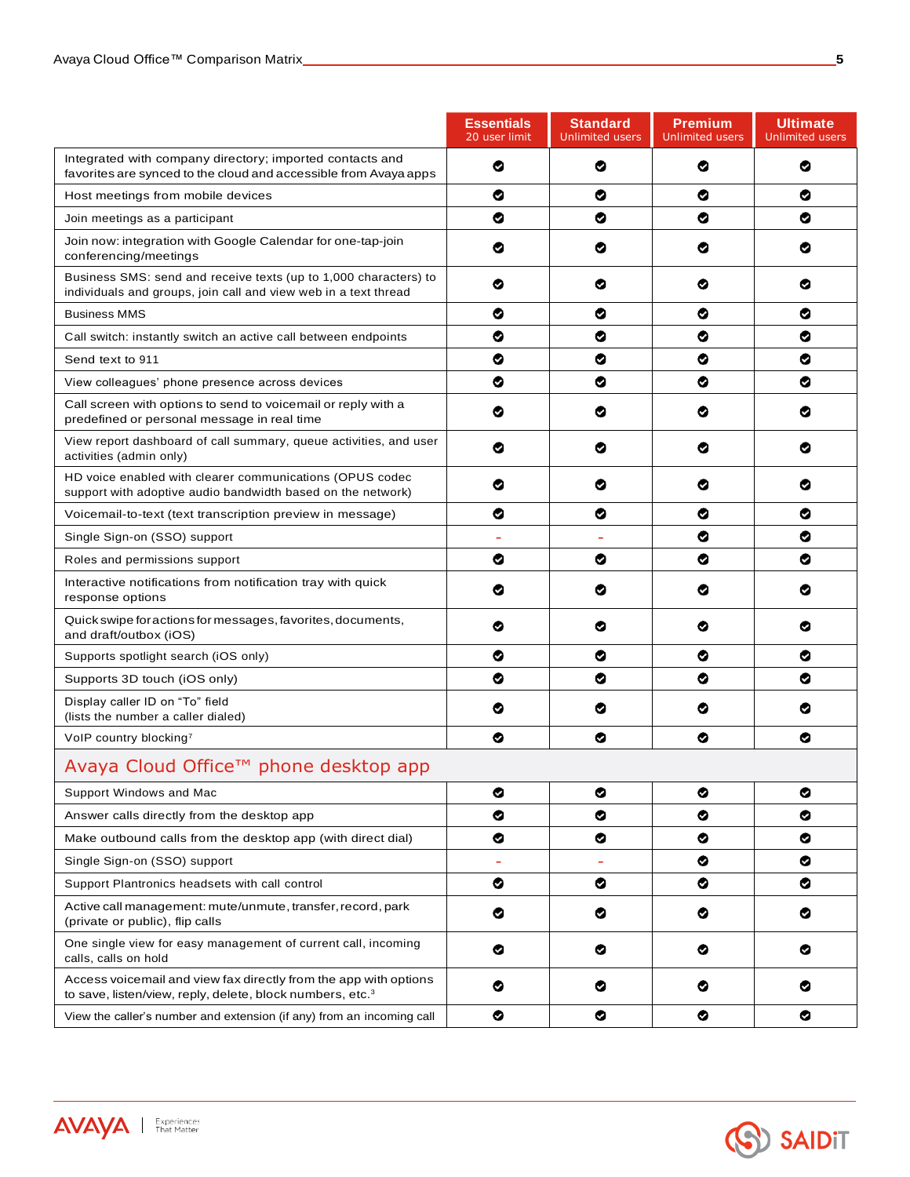**AVAYA** | Experiences

|                                                                                                                                           | <b>Essentials</b><br>20 user limit | <b>Standard</b><br><b>Unlimited users</b> | <b>Premium</b><br><b>Unlimited users</b> | <b>Ultimate</b><br><b>Unlimited users</b> |
|-------------------------------------------------------------------------------------------------------------------------------------------|------------------------------------|-------------------------------------------|------------------------------------------|-------------------------------------------|
| Integrated with company directory; imported contacts and<br>favorites are synced to the cloud and accessible from Avaya apps              | ❤                                  | ⊗                                         | ⊗                                        | ◎                                         |
| Host meetings from mobile devices                                                                                                         | ◙                                  | ❤                                         | ⊗                                        | ⊗                                         |
| Join meetings as a participant                                                                                                            | ❤                                  | ❤                                         | ❤                                        | ⊗                                         |
| Join now: integration with Google Calendar for one-tap-join<br>conferencing/meetings                                                      | ❤                                  | ⊗                                         | ❤                                        | ⊗                                         |
| Business SMS: send and receive texts (up to 1,000 characters) to<br>individuals and groups, join call and view web in a text thread       | ❤                                  | ◎                                         | ◎                                        | ల                                         |
| <b>Business MMS</b>                                                                                                                       | ◎                                  | ◎                                         | ◎                                        | ◎                                         |
| Call switch: instantly switch an active call between endpoints                                                                            | ❤                                  | ◎                                         | ◎                                        | ◎                                         |
| Send text to 911                                                                                                                          | ❤                                  | ◎                                         | ◎                                        | ⊗                                         |
| View colleagues' phone presence across devices                                                                                            | ❤                                  | ◎                                         | ◎                                        | ⊗                                         |
| Call screen with options to send to voicemail or reply with a<br>predefined or personal message in real time                              | ◎                                  | ◎                                         | ◎                                        | ⊗                                         |
| View report dashboard of call summary, queue activities, and user<br>activities (admin only)                                              | ◙                                  | ⊗                                         | ⊗                                        | ల                                         |
| HD voice enabled with clearer communications (OPUS codec<br>support with adoptive audio bandwidth based on the network)                   | ❤                                  | ❤                                         | ⊗                                        | ◎                                         |
| Voicemail-to-text (text transcription preview in message)                                                                                 | ❤                                  | ❤                                         | ⊗                                        | ◎                                         |
| Single Sign-on (SSO) support                                                                                                              | ÷,                                 |                                           | ⊗                                        | ⊗                                         |
| Roles and permissions support                                                                                                             | ❤                                  | ❤                                         | ❤                                        | ❤                                         |
| Interactive notifications from notification tray with quick<br>response options                                                           | ⊗                                  | ⊗                                         | ⊗                                        | ల                                         |
| Quick swipe for actions for messages, favorites, documents,<br>and draft/outbox (iOS)                                                     | ◎                                  | ◎                                         | ◎                                        | ⊗                                         |
| Supports spotlight search (iOS only)                                                                                                      | ❤                                  | ◎                                         | ◎                                        | ◎                                         |
| Supports 3D touch (iOS only)                                                                                                              | ❤                                  | ◎                                         | ◎                                        | ⊗                                         |
| Display caller ID on "To" field<br>(lists the number a caller dialed)                                                                     | ◎                                  | ◎                                         | ◎                                        | ల                                         |
| VolP country blocking <sup>7</sup>                                                                                                        | ❤                                  | ◎                                         | ◎                                        | ◎                                         |
| Avaya Cloud Office™ phone desktop app                                                                                                     |                                    |                                           |                                          |                                           |
| Support Windows and Mac                                                                                                                   | ❤                                  | ❤                                         | ❤                                        | ◉                                         |
| Answer calls directly from the desktop app                                                                                                | ❤                                  | ❤                                         | ❤                                        | ✅                                         |
| Make outbound calls from the desktop app (with direct dial)                                                                               | ❤                                  | ❤                                         | ❤                                        | ✅                                         |
| Single Sign-on (SSO) support                                                                                                              | $\equiv$                           | $\overline{\phantom{a}}$                  | ❤                                        | ❤                                         |
| Support Plantronics headsets with call control                                                                                            | ❤                                  | ◎                                         | ◎                                        | ⊗                                         |
| Active call management: mute/unmute, transfer, record, park<br>(private or public), flip calls                                            | ❤                                  | ❤                                         | ◎                                        | ❤                                         |
| One single view for easy management of current call, incoming<br>calls, calls on hold                                                     | ❤                                  | ❤                                         | ⊗                                        | ◎                                         |
| Access voicemail and view fax directly from the app with options<br>to save, listen/view, reply, delete, block numbers, etc. <sup>3</sup> | ❤                                  | ◎                                         | ◎                                        | ◎                                         |
| View the caller's number and extension (if any) from an incoming call                                                                     | ◎                                  | ◎                                         | ◎                                        | ◎                                         |

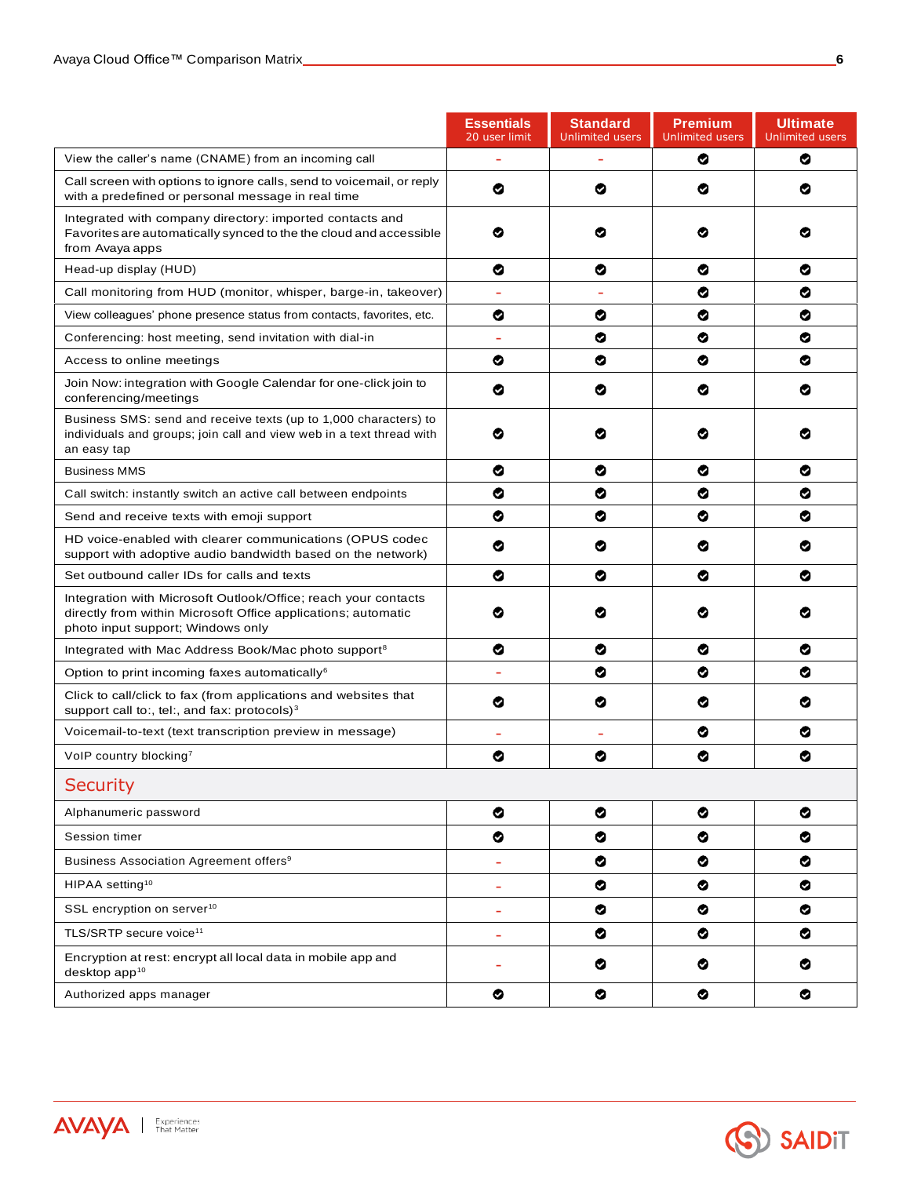|                                                                                                                                                                      | <b>Essentials</b><br>20 user limit | <b>Standard</b><br><b>Unlimited users</b> | <b>Premium</b><br><b>Unlimited users</b> | <b>Ultimate</b><br><b>Unlimited users</b> |
|----------------------------------------------------------------------------------------------------------------------------------------------------------------------|------------------------------------|-------------------------------------------|------------------------------------------|-------------------------------------------|
| View the caller's name (CNAME) from an incoming call                                                                                                                 | $\equiv$                           | $\overline{\phantom{0}}$                  | ◙                                        | ◙                                         |
| Call screen with options to ignore calls, send to voicemail, or reply<br>with a predefined or personal message in real time                                          | ❤                                  | ⊗                                         | ◎                                        | ◙                                         |
| Integrated with company directory: imported contacts and<br>Favorites are automatically synced to the the cloud and accessible<br>from Avaya apps                    | ⊗                                  | Ø                                         | ల                                        | ల                                         |
| Head-up display (HUD)                                                                                                                                                | ❤                                  | ❤                                         | ❤                                        | ⊗                                         |
| Call monitoring from HUD (monitor, whisper, barge-in, takeover)                                                                                                      | $\overline{\phantom{a}}$           | $\overline{a}$                            | ⊗                                        | ❤                                         |
| View colleagues' phone presence status from contacts, favorites, etc.                                                                                                | ❤                                  | ❤                                         | ⊗                                        | ☎                                         |
| Conferencing: host meeting, send invitation with dial-in                                                                                                             |                                    | ◎                                         | ◎                                        | ❤                                         |
| Access to online meetings                                                                                                                                            | ◎                                  | ◎                                         | ◎                                        | ◓                                         |
| Join Now: integration with Google Calendar for one-click join to<br>conferencing/meetings                                                                            | ⊗                                  | ⊗                                         | ❤                                        | ◎                                         |
| Business SMS: send and receive texts (up to 1,000 characters) to<br>individuals and groups; join call and view web in a text thread with<br>an easy tap              | ◉                                  | ◎                                         | ◎                                        | ◙                                         |
| <b>Business MMS</b>                                                                                                                                                  | ❤                                  | ⊗                                         | ❤                                        | ◎                                         |
| Call switch: instantly switch an active call between endpoints                                                                                                       | ❤                                  | ⊗                                         | ⊗                                        | ⊗                                         |
| Send and receive texts with emoji support                                                                                                                            | ❤                                  | ◎                                         | ◎                                        | ◎                                         |
| HD voice-enabled with clearer communications (OPUS codec<br>support with adoptive audio bandwidth based on the network)                                              | ⊗                                  | ❤                                         | ◎                                        | ◙                                         |
| Set outbound caller IDs for calls and texts                                                                                                                          | ◙                                  | ⊗                                         | ⊗                                        | ☎                                         |
| Integration with Microsoft Outlook/Office; reach your contacts<br>directly from within Microsoft Office applications; automatic<br>photo input support; Windows only | ❤                                  | ◎                                         | Ø                                        | ల                                         |
| Integrated with Mac Address Book/Mac photo support <sup>8</sup>                                                                                                      | ❤                                  | ❤                                         | ⊗                                        | ◎                                         |
| Option to print incoming faxes automatically <sup>6</sup>                                                                                                            |                                    | ⊗                                         | ◎                                        | ◉                                         |
| Click to call/click to fax (from applications and websites that<br>support call to:, tel:, and fax: protocols) <sup>3</sup>                                          | ◎                                  | ◎                                         | ⊗                                        | ◙                                         |
| Voicemail-to-text (text transcription preview in message)                                                                                                            |                                    |                                           | ◎                                        | ◎                                         |
| VolP country blocking <sup>7</sup>                                                                                                                                   | ❤                                  | ⊗                                         | ⊗                                        | ❤                                         |
| <b>Security</b>                                                                                                                                                      |                                    |                                           |                                          |                                           |
| Alphanumeric password                                                                                                                                                | ❤                                  | ❤                                         | ❤                                        | ❤                                         |
| Session timer                                                                                                                                                        | ❤                                  | ◎                                         | ◎                                        | ◉                                         |
| Business Association Agreement offers <sup>9</sup>                                                                                                                   | $\equiv$                           | ❤                                         | ❤                                        | ❤                                         |
| HIPAA setting <sup>10</sup>                                                                                                                                          | $\blacksquare$                     | ◎                                         | ◎                                        | ◎                                         |
| SSL encryption on server <sup>10</sup>                                                                                                                               | $\blacksquare$                     | ❤                                         | ❤                                        | ❤                                         |
| TLS/SRTP secure voice <sup>11</sup>                                                                                                                                  | $\equiv$                           | ◎                                         | ◎                                        | ❤                                         |
| Encryption at rest: encrypt all local data in mobile app and<br>desktop app <sup>10</sup>                                                                            | $\overline{\phantom{a}}$           | ❤                                         | ◎                                        | ◉                                         |
| Authorized apps manager                                                                                                                                              | ❤                                  | ◎                                         | ◎                                        | ❤                                         |
|                                                                                                                                                                      |                                    |                                           |                                          |                                           |